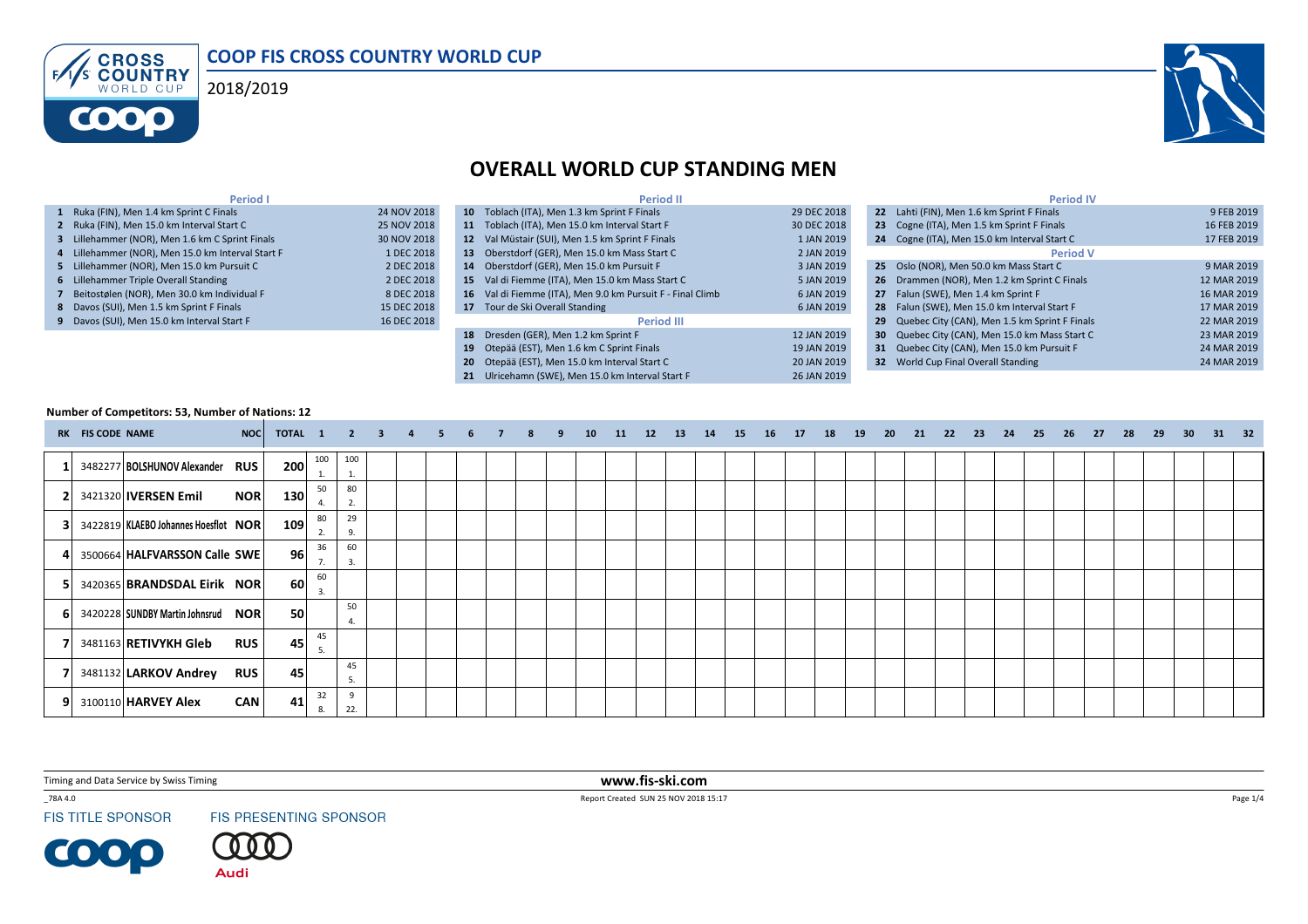





# OVERALL WORLD CUP STANDING MEN

| Period I                                          |             | <b>Period II</b>                                           |             | <b>Period IV</b>                                 |             |
|---------------------------------------------------|-------------|------------------------------------------------------------|-------------|--------------------------------------------------|-------------|
| 1 Ruka (FIN), Men 1.4 km Sprint C Finals          | 24 NOV 2018 | 10 Toblach (ITA), Men 1.3 km Sprint F Finals               | 29 DEC 2018 | 22 Lahti (FIN), Men 1.6 km Sprint F Finals       | 9 FEB 2019  |
| 2 Ruka (FIN), Men 15.0 km Interval Start C        | 25 NOV 2018 | 11 Toblach (ITA), Men 15.0 km Interval Start F             | 30 DEC 2018 | 23 Cogne (ITA), Men 1.5 km Sprint F Finals       | 16 FEB 2019 |
| 3 Lillehammer (NOR), Men 1.6 km C Sprint Finals   | 30 NOV 2018 | 12 Val Müstair (SUI), Men 1.5 km Sprint F Finals           | 1 JAN 2019  | 24 Cogne (ITA), Men 15.0 km Interval Start C     | 17 FEB 2019 |
| 4 Lillehammer (NOR), Men 15.0 km Interval Start F | 1 DEC 2018  | 13 Oberstdorf (GER), Men 15.0 km Mass Start C              | 2 JAN 2019  | <b>Period V</b>                                  |             |
| 5 Lillehammer (NOR), Men 15.0 km Pursuit C        | 2 DEC 2018  | 14 Oberstdorf (GER), Men 15.0 km Pursuit F                 | 3 JAN 2019  | 25 Oslo (NOR), Men 50.0 km Mass Start C          | 9 MAR 2019  |
| 6 Lillehammer Triple Overall Standing             | 2 DEC 2018  | 15 Val di Fiemme (ITA), Men 15.0 km Mass Start C           | 5 JAN 2019  | 26 Drammen (NOR), Men 1.2 km Sprint C Finals     | 12 MAR 2019 |
| 7 Beitostølen (NOR), Men 30.0 km Individual F     | 8 DEC 2018  | 16 Val di Fiemme (ITA), Men 9.0 km Pursuit F - Final Climb | 6 JAN 2019  | 27 Falun (SWE). Men 1.4 km Sprint F              | 16 MAR 2019 |
| 8 Davos (SUI), Men 1.5 km Sprint F Finals         | 15 DEC 2018 | 17 Tour de Ski Overall Standing                            | 6 JAN 2019  | 28 Falun (SWE), Men 15.0 km Interval Start F     | 17 MAR 2019 |
| 9 Davos (SUI), Men 15.0 km Interval Start F       | 16 DEC 2018 | <b>Period III</b>                                          |             | 29 Quebec City (CAN), Men 1.5 km Sprint F Finals | 22 MAR 2019 |
|                                                   |             | 18 Dresden (GER), Men 1.2 km Sprint F                      | 12 JAN 2019 | 30 Quebec City (CAN), Men 15.0 km Mass Start C   | 23 MAR 2019 |
|                                                   |             | 19 Otepää (EST), Men 1.6 km C Sprint Finals                | 19 JAN 2019 | 31 Quebec City (CAN), Men 15.0 km Pursuit F      | 24 MAR 2019 |
|                                                   |             | 20 Otepää (EST). Men 15.0 km Interval Start C              | 20 JAN 2019 | <b>32</b> World Cup Final Overall Standing       | 24 MAR 2019 |

**21** Ulricehamn (SWE), Men 15.0 km Interval Start F 26 JAN 2019

#### Number of Competitors: 53, Number of Nations: 12

|    | RK FIS CODE NAME | NOC                                       | TOTAL 1 |                  | $\sim$ 2 $\sim$ | $-3$ | -5 |  | 9 | 10 | 11 | 12 | 13 | 14 | 15 | 16 | 17 | 18 | 19 | - 20 | - 21 | 22 | 23 | - 24 | - 25 | 26 | - 27 | - 28 | 29 | 30 | 31 32 |  |
|----|------------------|-------------------------------------------|---------|------------------|-----------------|------|----|--|---|----|----|----|----|----|----|----|----|----|----|------|------|----|----|------|------|----|------|------|----|----|-------|--|
|    |                  | 3482277 BOLSHUNOV Alexander RUS           | 200     | 100<br><b>L.</b> | 100<br>1.       |      |    |  |   |    |    |    |    |    |    |    |    |    |    |      |      |    |    |      |      |    |      |      |    |    |       |  |
|    |                  | <b>NOR</b><br>3421320 <b>IVERSEN Emil</b> | 130     | 50               | 80<br>2.        |      |    |  |   |    |    |    |    |    |    |    |    |    |    |      |      |    |    |      |      |    |      |      |    |    |       |  |
| 31 |                  | 3422819 KLAEBO Johannes Hoesflot NOR      | 109     | 80<br>2.         | 29<br>9.        |      |    |  |   |    |    |    |    |    |    |    |    |    |    |      |      |    |    |      |      |    |      |      |    |    |       |  |
| 41 |                  | 3500664 HALFVARSSON Calle SWE             | 96      | 36<br>7.         | 60<br>3.        |      |    |  |   |    |    |    |    |    |    |    |    |    |    |      |      |    |    |      |      |    |      |      |    |    |       |  |
| 51 |                  | 3420365 BRANDSDAL Eirik NOR               | 60      | 60<br>3.         |                 |      |    |  |   |    |    |    |    |    |    |    |    |    |    |      |      |    |    |      |      |    |      |      |    |    |       |  |
| 61 |                  | 3420228 SUNDBY Martin Johnsrud NOR        | 50      |                  | 50              |      |    |  |   |    |    |    |    |    |    |    |    |    |    |      |      |    |    |      |      |    |      |      |    |    |       |  |
|    |                  | 3481163 RETIVYKH Gleb<br><b>RUS</b>       | 45      | 45               |                 |      |    |  |   |    |    |    |    |    |    |    |    |    |    |      |      |    |    |      |      |    |      |      |    |    |       |  |
|    |                  | 3481132 LARKOV Andrey<br><b>RUS</b>       | 45      |                  | 45<br>- 5.      |      |    |  |   |    |    |    |    |    |    |    |    |    |    |      |      |    |    |      |      |    |      |      |    |    |       |  |
| 91 |                  | 3100110 HARVEY Alex<br><b>CAN</b>         | 41      | 32<br>8.         | 22.             |      |    |  |   |    |    |    |    |    |    |    |    |    |    |      |      |    |    |      |      |    |      |      |    |    |       |  |

Timing and Data Service by Swiss Timing

\_78A 4.0

**FIS TITLE SPONSOR** 

COOP

FIS PRESENTING SPONSOR

**Audi** 

 www.fis-ski.comReport Created SUN 25 NOV 2018 15:17

Page  $1/4$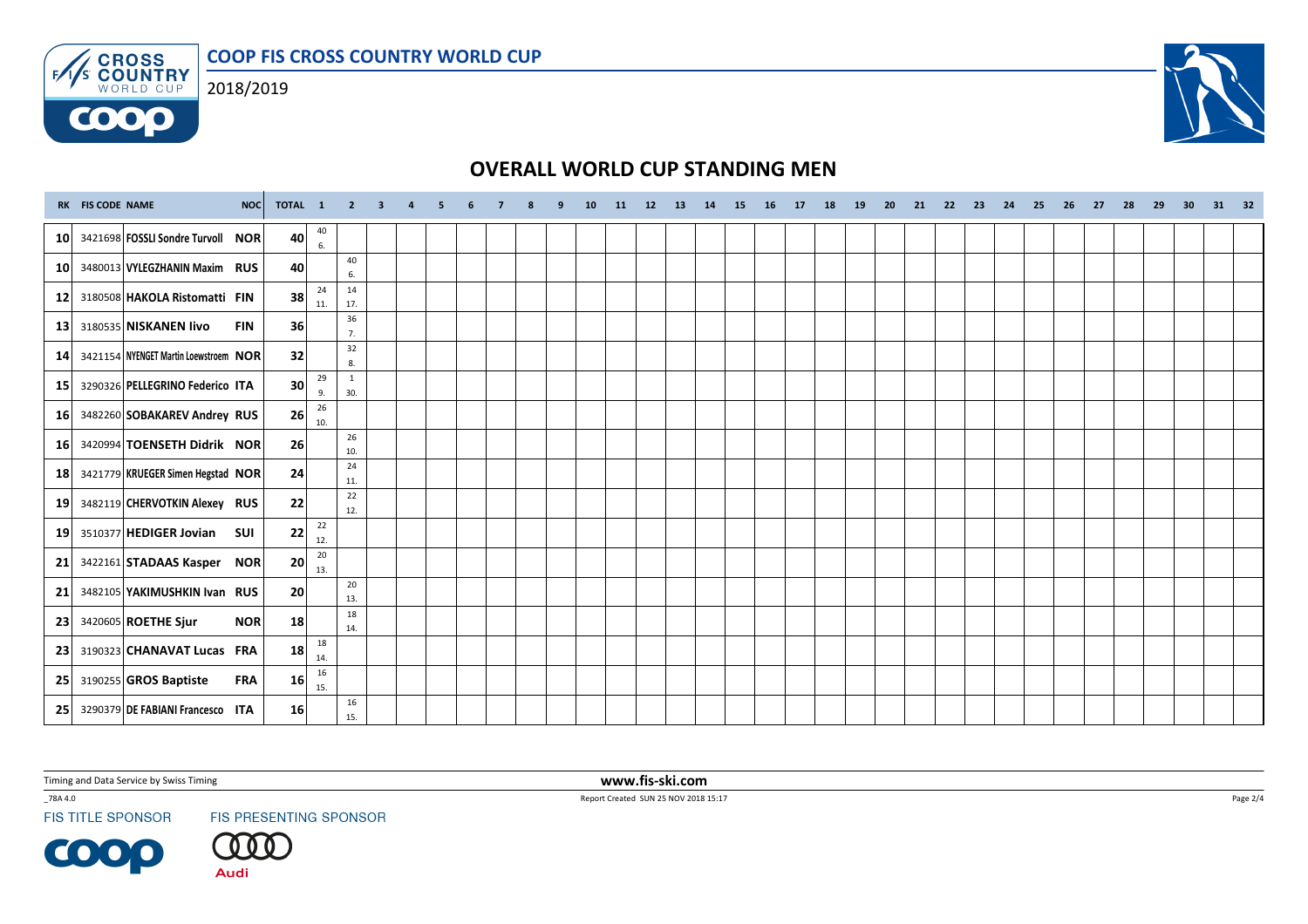COOP FIS CROSS COUNTRY WORLD CUP



**COOO** 



## OVERALL WORLD CUP STANDING MEN

|                 | RK FIS CODE NAME | NOC                                   | TOTAL 1         |           | 2 3 4 5             |  | $-62$ |  | <b>q</b> | 10 | 11 12 13 | 14 15 | 16 | 17 18 | 19 | 20 | 21 | 22 23 | 24 | 25 | 26 27 | 28 | 29 | 30 | 31 32 |  |
|-----------------|------------------|---------------------------------------|-----------------|-----------|---------------------|--|-------|--|----------|----|----------|-------|----|-------|----|----|----|-------|----|----|-------|----|----|----|-------|--|
| 10 <sup>1</sup> |                  | 3421698 FOSSLI Sondre Turvoll NOR     | 40              | 40<br>6.  |                     |  |       |  |          |    |          |       |    |       |    |    |    |       |    |    |       |    |    |    |       |  |
| 10              |                  | 3480013 VYLEGZHANIN Maxim RUS         | 40              |           | 40<br>6.            |  |       |  |          |    |          |       |    |       |    |    |    |       |    |    |       |    |    |    |       |  |
| 12 <sup>1</sup> |                  | 3180508 HAKOLA Ristomatti FIN         | 38              | 24<br>11. | 14<br>17.           |  |       |  |          |    |          |       |    |       |    |    |    |       |    |    |       |    |    |    |       |  |
| 13              |                  | 3180535 NISKANEN livo<br><b>FIN</b>   | <b>36</b>       |           | 36<br>7.            |  |       |  |          |    |          |       |    |       |    |    |    |       |    |    |       |    |    |    |       |  |
| 14              |                  | 3421154 NYENGET Martin Loewstroem NOR | 32              |           | 32<br>8.            |  |       |  |          |    |          |       |    |       |    |    |    |       |    |    |       |    |    |    |       |  |
| 15 <sup>1</sup> |                  | 3290326 PELLEGRINO Federico ITA       | 30              | 29<br>9.  | <sup>1</sup><br>30. |  |       |  |          |    |          |       |    |       |    |    |    |       |    |    |       |    |    |    |       |  |
| <b>16</b>       |                  | 3482260 SOBAKAREV Andrey RUS          | 26              | 26<br>10. |                     |  |       |  |          |    |          |       |    |       |    |    |    |       |    |    |       |    |    |    |       |  |
| 16 <sup>1</sup> |                  | 3420994 TOENSETH Didrik NOR           | 26              |           | 26<br>10.           |  |       |  |          |    |          |       |    |       |    |    |    |       |    |    |       |    |    |    |       |  |
| 18              |                  | 3421779 KRUEGER Simen Hegstad NOR     | 24              |           | 24<br>11.           |  |       |  |          |    |          |       |    |       |    |    |    |       |    |    |       |    |    |    |       |  |
| 19 <sup>1</sup> |                  | 3482119 CHERVOTKIN Alexey RUS         | 22              |           | 22<br>12.           |  |       |  |          |    |          |       |    |       |    |    |    |       |    |    |       |    |    |    |       |  |
| <b>19</b>       |                  | 3510377 HEDIGER Jovian<br><b>SUI</b>  | 22              | 22<br>12. |                     |  |       |  |          |    |          |       |    |       |    |    |    |       |    |    |       |    |    |    |       |  |
| 21              |                  | 3422161 STADAAS Kasper NOR            | 20              | 20<br>13. |                     |  |       |  |          |    |          |       |    |       |    |    |    |       |    |    |       |    |    |    |       |  |
| 21              |                  | 3482105 YAKIMUSHKIN Ivan RUS          | 20 <sub>l</sub> |           | 20<br>13.           |  |       |  |          |    |          |       |    |       |    |    |    |       |    |    |       |    |    |    |       |  |
| 23              |                  | 3420605 ROETHE Sjur<br><b>NOR</b>     | 18              |           | 18<br>14.           |  |       |  |          |    |          |       |    |       |    |    |    |       |    |    |       |    |    |    |       |  |
| 23 <sub>1</sub> |                  | 3190323 CHANAVAT Lucas FRA            | 18              | 18<br>14. |                     |  |       |  |          |    |          |       |    |       |    |    |    |       |    |    |       |    |    |    |       |  |
| 25 <sup>1</sup> |                  | 3190255 GROS Baptiste<br><b>FRA</b>   | 16              | 16<br>15. |                     |  |       |  |          |    |          |       |    |       |    |    |    |       |    |    |       |    |    |    |       |  |
| <b>25</b>       |                  | 3290379 DE FABIANI Francesco ITA      | 16 <sup>1</sup> |           | 16<br>15.           |  |       |  |          |    |          |       |    |       |    |    |    |       |    |    |       |    |    |    |       |  |

Timing and Data Service by Swiss Timing

\_78A 4.0

**FIS TITLE SPONSOR** 

**COOP** 

FIS PRESENTING SPONSOR



 www.fis-ski.comReport Created SUN 25 NOV 2018 15:17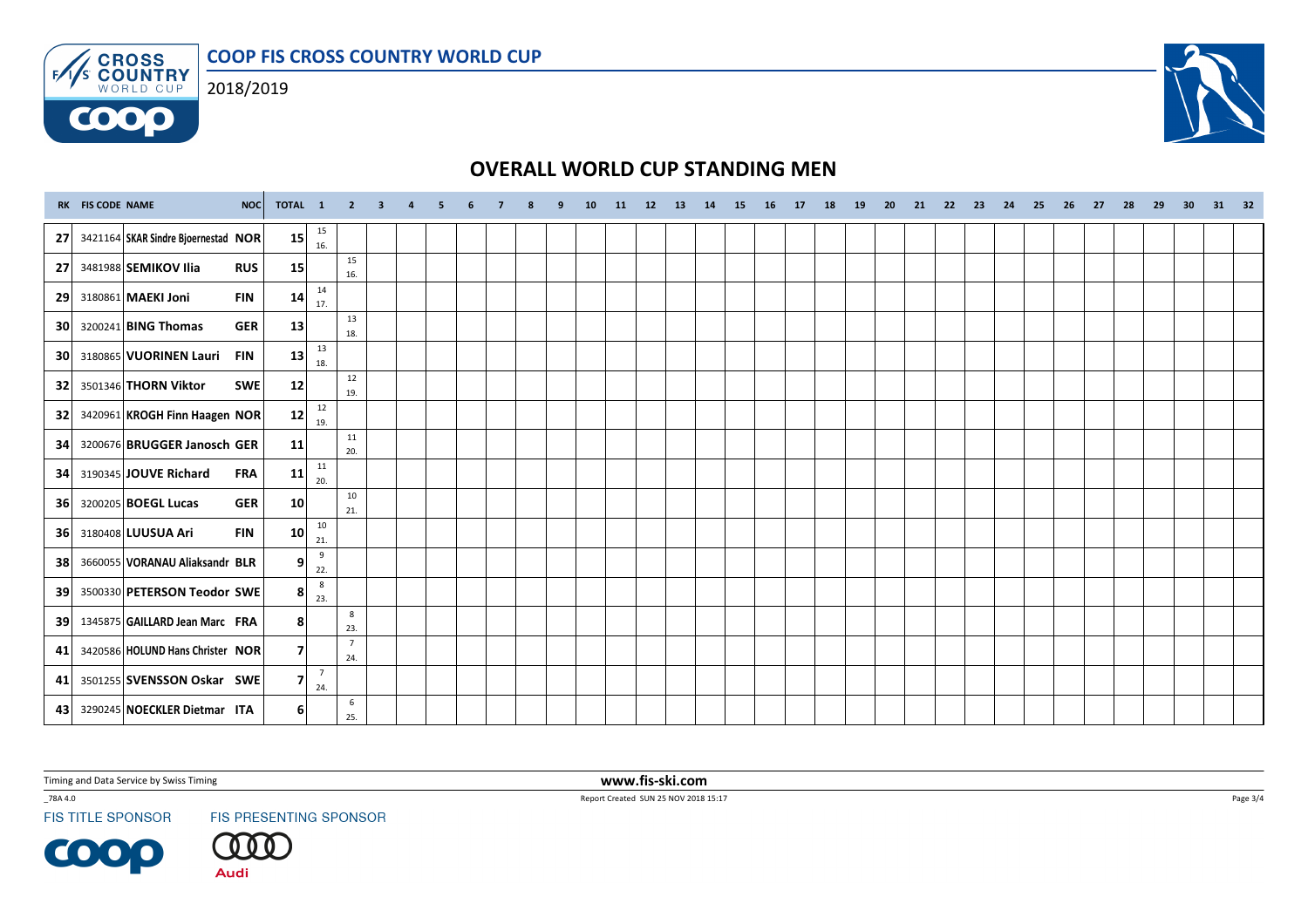COOP FIS CROSS COUNTRY WORLD CUP



**COOO** 



# OVERALL WORLD CUP STANDING MEN

|                 | RK FIS CODE NAME | NOC                                  | TOTAL 1 |                        | 2 3 4 5                |  | - 6 | $\overline{7}$ | 9 | 10 | 11 12 13 | 14 15 | 16 | 17 18 | 19 | 20 | 21 | 22 23 | 24 | 25 | 26 27 | 28 | 29 | 30 | 31 32 |  |
|-----------------|------------------|--------------------------------------|---------|------------------------|------------------------|--|-----|----------------|---|----|----------|-------|----|-------|----|----|----|-------|----|----|-------|----|----|----|-------|--|
| 27 <sup>1</sup> |                  | 3421164 SKAR Sindre Bjoernestad NOR  | 15      | 15<br>16.              |                        |  |     |                |   |    |          |       |    |       |    |    |    |       |    |    |       |    |    |    |       |  |
| 27              |                  | 3481988 SEMIKOV Ilia<br><b>RUS</b>   | 15      |                        | 15<br>16.              |  |     |                |   |    |          |       |    |       |    |    |    |       |    |    |       |    |    |    |       |  |
| 29              |                  | 3180861 MAEKI Joni<br><b>FIN</b>     | 14      | 14<br>17.              |                        |  |     |                |   |    |          |       |    |       |    |    |    |       |    |    |       |    |    |    |       |  |
| 30              |                  | 3200241 BING Thomas<br><b>GER</b>    | 13      |                        | 13<br>18.              |  |     |                |   |    |          |       |    |       |    |    |    |       |    |    |       |    |    |    |       |  |
| 30              |                  | 3180865 VUORINEN Lauri<br><b>FIN</b> | 13      | 13<br>18.              |                        |  |     |                |   |    |          |       |    |       |    |    |    |       |    |    |       |    |    |    |       |  |
| 32              |                  | 3501346 THORN Viktor<br>SWE          | 12      |                        | 12<br>19.              |  |     |                |   |    |          |       |    |       |    |    |    |       |    |    |       |    |    |    |       |  |
| 32 <sub>1</sub> |                  | 3420961 KROGH Finn Haagen NOR        | 12      | 12<br>19.              |                        |  |     |                |   |    |          |       |    |       |    |    |    |       |    |    |       |    |    |    |       |  |
| 34              |                  | 3200676 BRUGGER Janosch GER          | 11      |                        | 11<br>20.              |  |     |                |   |    |          |       |    |       |    |    |    |       |    |    |       |    |    |    |       |  |
| 34              |                  | 3190345 JOUVE Richard<br><b>FRA</b>  | 11      | $11\,$<br>20.          |                        |  |     |                |   |    |          |       |    |       |    |    |    |       |    |    |       |    |    |    |       |  |
| <b>36</b>       |                  | 3200205 BOEGL Lucas<br><b>GER</b>    | 10      |                        | 10<br>21.              |  |     |                |   |    |          |       |    |       |    |    |    |       |    |    |       |    |    |    |       |  |
| <b>36</b>       |                  | 3180408 LUUSUA Ari<br><b>FIN</b>     | 10      | 10 <sup>°</sup><br>21. |                        |  |     |                |   |    |          |       |    |       |    |    |    |       |    |    |       |    |    |    |       |  |
| 38              |                  | 3660055 VORANAU Aliaksandr BLR       | 9       | 9<br>22.               |                        |  |     |                |   |    |          |       |    |       |    |    |    |       |    |    |       |    |    |    |       |  |
| 39              |                  | 3500330 PETERSON Teodor SWE          | 8       | 8<br>23.               |                        |  |     |                |   |    |          |       |    |       |    |    |    |       |    |    |       |    |    |    |       |  |
| 39              |                  | 1345875 GAILLARD Jean Marc FRA       | 8       |                        | 8<br>23.               |  |     |                |   |    |          |       |    |       |    |    |    |       |    |    |       |    |    |    |       |  |
| 41              |                  | 3420586 HOLUND Hans Christer NOR     | 7       |                        | $7\overline{ }$<br>24. |  |     |                |   |    |          |       |    |       |    |    |    |       |    |    |       |    |    |    |       |  |
| 41              |                  | 3501255 SVENSSON Oskar SWE           | 7       | $\overline{7}$<br>24.  |                        |  |     |                |   |    |          |       |    |       |    |    |    |       |    |    |       |    |    |    |       |  |
| 43              |                  | 3290245 NOECKLER Dietmar ITA         | 61      |                        | 6<br>25.               |  |     |                |   |    |          |       |    |       |    |    |    |       |    |    |       |    |    |    |       |  |

Timing and Data Service by Swiss Timing

\_78A 4.0

**FIS TITLE SPONSOR** 

**COOP** 

FIS PRESENTING SPONSOR



 www.fis-ski.comReport Created SUN 25 NOV 2018 15:17